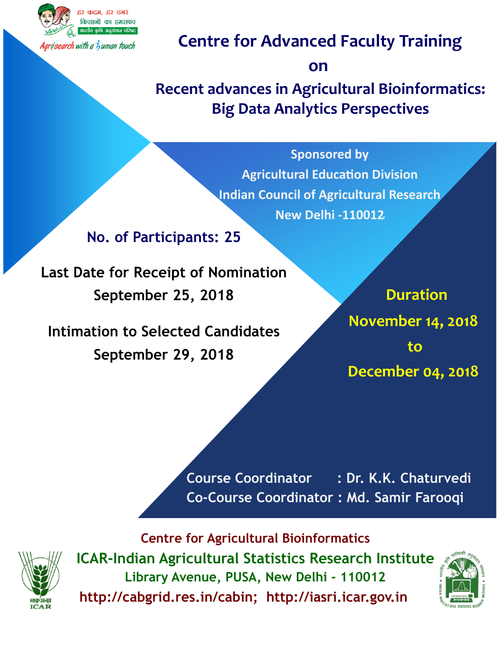

Agrisearch with a  $\tilde{\mathit{h}}$  uman touch

# **Centre for Advanced Faculty Training**

**on**

**Recent advances in Agricultural Bioinformatics: Big Data Analytics Perspectives**

> z **New Delhi -110012 Sponsored by Agricultural Education Division Indian Council of Agricultural Research**

**No. of Participants: 25**

**Last Date for Receipt of Nomination September 25, 2018**

**Intimation to Selected Candidates September 29, 2018**

 **Duration November 14, 2018 to December 04, 2018** 

**Course Coordinator : Dr. K.K. Chaturvedi Co-Course Coordinator : Md. Samir Farooqi**



**Centre for Agricultural Bioinformatics ICAR-Indian Agricultural Statistics Research Institute Library Avenue, PUSA, New Delhi - 110012** *x***<sub>***ngsag</sub>* **http://cabgrid.res.in/cabin; http://iasri.icar.gov.in**</sub>

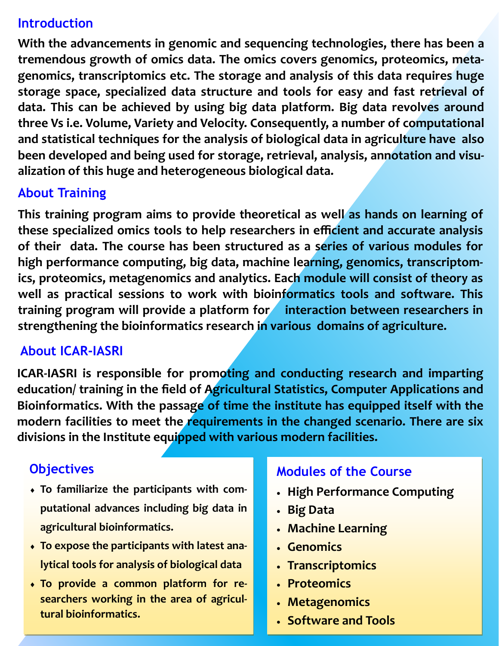#### **Introduction**

**With the advancements in genomic and sequencing technologies, there has been a tremendous growth of omics data. The omics covers genomics, proteomics, metagenomics, transcriptomics etc. The storage and analysis of this data requires huge storage space, specialized data structure and tools for easy and fast retrieval of data. This can be achieved by using big data platform. Big data revolves around three Vs i.e. Volume, Variety and Velocity. Consequently, a number of computational and statistical techniques for the analysis of biological data in agriculture have also been developed and being used for storage, retrieval, analysis, annotation and visualization of this huge and heterogeneous biological data.**

#### **About Training**

**This training program aims to provide theoretical as well as hands on learning of these specialized omics tools to help researchers in efficient and accurate analysis of their data. The course has been structured as a series of various modules for high performance computing, big data, machine learning, genomics, transcriptomics, proteomics, metagenomics and analytics. Each module will consist of theory as well as practical sessions to work with bioinformatics tools and software. This training program will provide a platform for interaction between researchers in strengthening the bioinformatics research in various domains of agriculture.** 

#### **About ICAR-IASRI**

**ICAR-IASRI is responsible for promoting and conducting research and imparting education/ training in the field of Agricultural Statistics, Computer Applications and Bioinformatics. With the passage of time the institute has equipped itself with the modern facilities to meet the requirements in the changed scenario. There are six divisions in the Institute equipped with various modern facilities.**

#### **Objectives**

- **To familiarize the participants with computational advances including big data in agricultural bioinformatics.**
- **To expose the participants with latest analytical tools for analysis of biological data**
- **To provide a common platform for researchers working in the area of agricultural bioinformatics.**

#### **Modules of the Course**

- **High Performance Computing**
- **Big Data**
- **Machine Learning**
- **Genomics**
- **Transcriptomics**
- **Proteomics**
- **Metagenomics**
- **Software and Tools**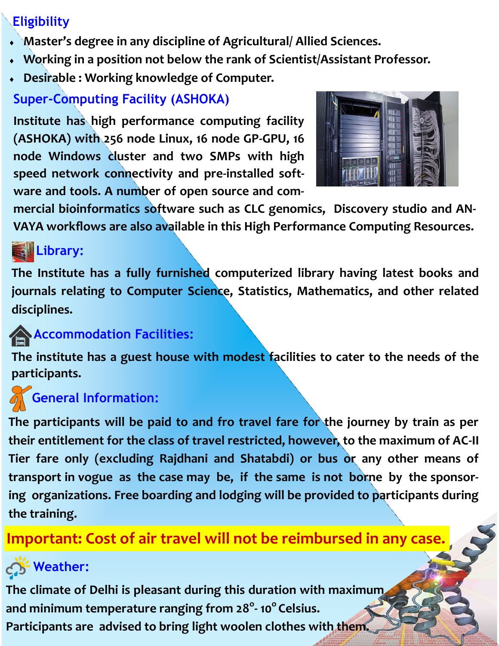## **Eligibility**

- **Master's degree in any discipline of Agricultural/ Allied Sciences.**
- **Working in a position not below the rank of Scientist/Assistant Professor.**
- **Desirable : Working knowledge of Computer.**

## **Super-Computing Facility (ASHOKA)**

**Institute has high performance computing facility (ASHOKA) with 256 node Linux, 16 node GP-GPU, 16 node Windows cluster and two SMPs with high speed network connectivity and pre-installed software and tools. A number of open source and com-**



**mercial bioinformatics software such as CLC genomics, Discovery studio and AN-VAYA workflows are also available in this High Performance Computing Resources.** 

### **Library:**

**The Institute has a fully furnished computerized library having latest books and journals relating to Computer Science, Statistics, Mathematics, and other related disciplines.**

## **Accommodation Facilities:**

**The institute has a guest house with modest facilities to cater to the needs of the participants.**

## **General Information:**

**The participants will be paid to and fro travel fare for the journey by train as per their entitlement for the class of travel restricted, however, to the maximum of AC-II Tier fare only (excluding Rajdhani and Shatabdi) or bus or any other means of transport in vogue as the case may be, if the same is not borne by the sponsoring organizations. Free boarding and lodging will be provided to participants during the training.** 

# **Important: Cost of air travel will not be reimbursed in any case.**

# *<u> Weather:</u>*

**The climate of Delhi is pleasant during this duration with maximum and minimum temperature ranging from 28<sup>o</sup> - 10<sup>o</sup>Celsius.** 

**Participants are advised to bring light woolen clothes with them.**